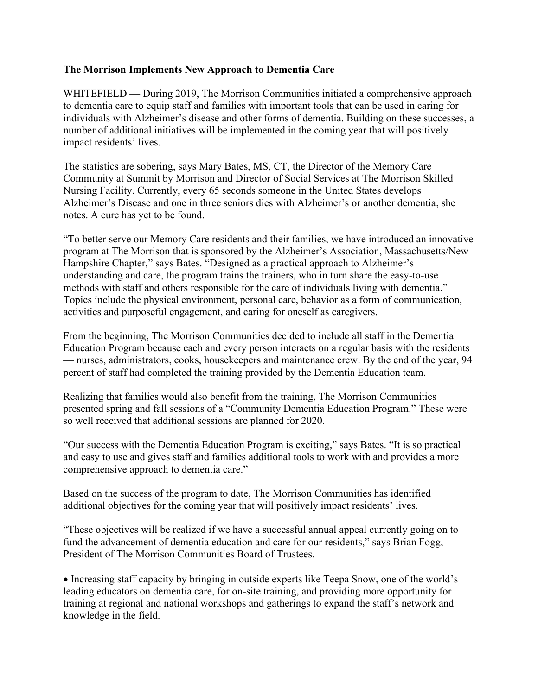## **The Morrison Implements New Approach to Dementia Care**

WHITEFIELD — During 2019, The Morrison Communities initiated a comprehensive approach to dementia care to equip staff and families with important tools that can be used in caring for individuals with Alzheimer's disease and other forms of dementia. Building on these successes, a number of additional initiatives will be implemented in the coming year that will positively impact residents' lives.

The statistics are sobering, says Mary Bates, MS, CT, the Director of the Memory Care Community at Summit by Morrison and Director of Social Services at The Morrison Skilled Nursing Facility. Currently, every 65 seconds someone in the United States develops Alzheimer's Disease and one in three seniors dies with Alzheimer's or another dementia, she notes. A cure has yet to be found.

"To better serve our Memory Care residents and their families, we have introduced an innovative program at The Morrison that is sponsored by the Alzheimer's Association, Massachusetts/New Hampshire Chapter," says Bates. "Designed as a practical approach to Alzheimer's understanding and care, the program trains the trainers, who in turn share the easy-to-use methods with staff and others responsible for the care of individuals living with dementia." Topics include the physical environment, personal care, behavior as a form of communication, activities and purposeful engagement, and caring for oneself as caregivers.

From the beginning, The Morrison Communities decided to include all staff in the Dementia Education Program because each and every person interacts on a regular basis with the residents — nurses, administrators, cooks, housekeepers and maintenance crew. By the end of the year, 94 percent of staff had completed the training provided by the Dementia Education team.

Realizing that families would also benefit from the training, The Morrison Communities presented spring and fall sessions of a "Community Dementia Education Program." These were so well received that additional sessions are planned for 2020.

"Our success with the Dementia Education Program is exciting," says Bates. "It is so practical and easy to use and gives staff and families additional tools to work with and provides a more comprehensive approach to dementia care."

Based on the success of the program to date, The Morrison Communities has identified additional objectives for the coming year that will positively impact residents' lives.

"These objectives will be realized if we have a successful annual appeal currently going on to fund the advancement of dementia education and care for our residents," says Brian Fogg, President of The Morrison Communities Board of Trustees.

• Increasing staff capacity by bringing in outside experts like Teepa Snow, one of the world's leading educators on dementia care, for on-site training, and providing more opportunity for training at regional and national workshops and gatherings to expand the staff's network and knowledge in the field.